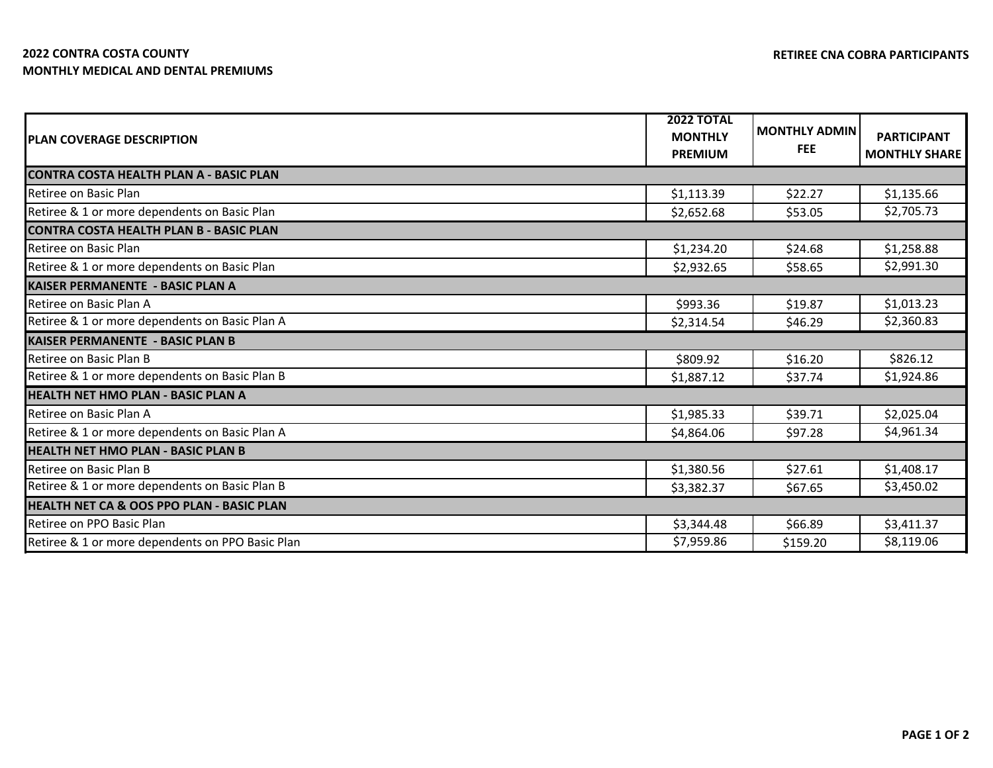## **2022 CONTRA COSTA COUNTY MONTHLY MEDICAL AND DENTAL PREMIUMS**

| <b>PLAN COVERAGE DESCRIPTION</b>                     | <b>2022 TOTAL</b><br><b>MONTHLY</b> | <b>MONTHLY ADMIN</b> |                                            |  |  |
|------------------------------------------------------|-------------------------------------|----------------------|--------------------------------------------|--|--|
|                                                      | <b>PREMIUM</b>                      | <b>FEE</b>           | <b>PARTICIPANT</b><br><b>MONTHLY SHARE</b> |  |  |
| <b>CONTRA COSTA HEALTH PLAN A - BASIC PLAN</b>       |                                     |                      |                                            |  |  |
| Retiree on Basic Plan                                | \$1,113.39                          | \$22.27              | \$1,135.66                                 |  |  |
| Retiree & 1 or more dependents on Basic Plan         | \$2,652.68                          | \$53.05              | \$2,705.73                                 |  |  |
| <b>CONTRA COSTA HEALTH PLAN B - BASIC PLAN</b>       |                                     |                      |                                            |  |  |
| Retiree on Basic Plan                                | \$1,234.20                          | \$24.68              | \$1,258.88                                 |  |  |
| Retiree & 1 or more dependents on Basic Plan         | \$2,932.65                          | \$58.65              | \$2,991.30                                 |  |  |
| <b>KAISER PERMANENTE - BASIC PLAN A</b>              |                                     |                      |                                            |  |  |
| Retiree on Basic Plan A                              | \$993.36                            | \$19.87              | \$1,013.23                                 |  |  |
| Retiree & 1 or more dependents on Basic Plan A       | \$2,314.54                          | \$46.29              | \$2,360.83                                 |  |  |
| <b>KAISER PERMANENTE - BASIC PLAN B</b>              |                                     |                      |                                            |  |  |
| Retiree on Basic Plan B                              | \$809.92                            | \$16.20              | \$826.12                                   |  |  |
| Retiree & 1 or more dependents on Basic Plan B       | \$1,887.12                          | \$37.74              | \$1,924.86                                 |  |  |
| <b>HEALTH NET HMO PLAN - BASIC PLAN A</b>            |                                     |                      |                                            |  |  |
| Retiree on Basic Plan A                              | \$1,985.33                          | \$39.71              | \$2,025.04                                 |  |  |
| Retiree & 1 or more dependents on Basic Plan A       | \$4,864.06                          | \$97.28              | \$4,961.34                                 |  |  |
| <b>HEALTH NET HMO PLAN - BASIC PLAN B</b>            |                                     |                      |                                            |  |  |
| Retiree on Basic Plan B                              | \$1,380.56                          | \$27.61              | \$1,408.17                                 |  |  |
| Retiree & 1 or more dependents on Basic Plan B       | \$3,382.37                          | \$67.65              | \$3,450.02                                 |  |  |
| <b>HEALTH NET CA &amp; OOS PPO PLAN - BASIC PLAN</b> |                                     |                      |                                            |  |  |
| Retiree on PPO Basic Plan                            | \$3,344.48                          | \$66.89              | \$3,411.37                                 |  |  |
| Retiree & 1 or more dependents on PPO Basic Plan     | \$7,959.86                          | \$159.20             | \$8,119.06                                 |  |  |